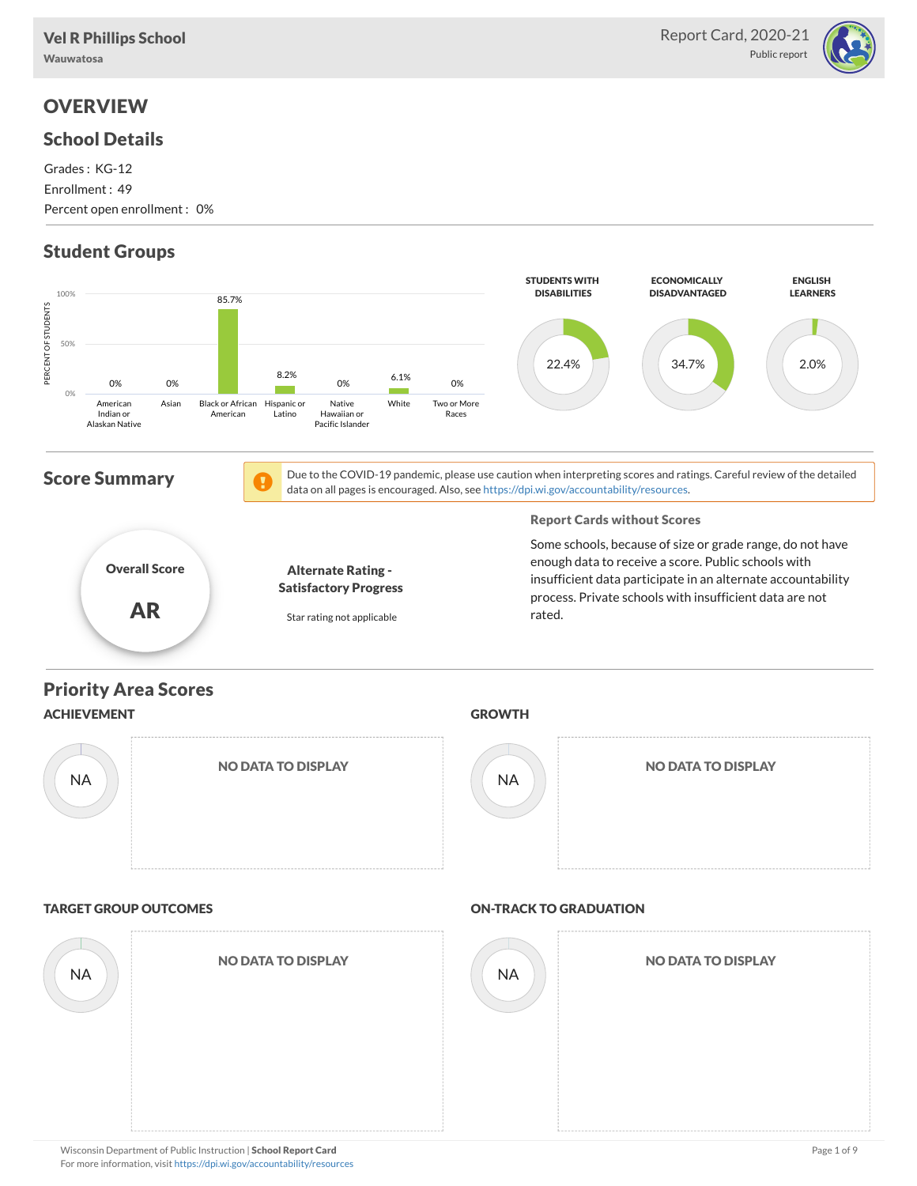

# **OVERVIEW**

### School Details

Grades : KG-12 Enrollment : 49

Percent open enrollment : 0%

# Student Groups

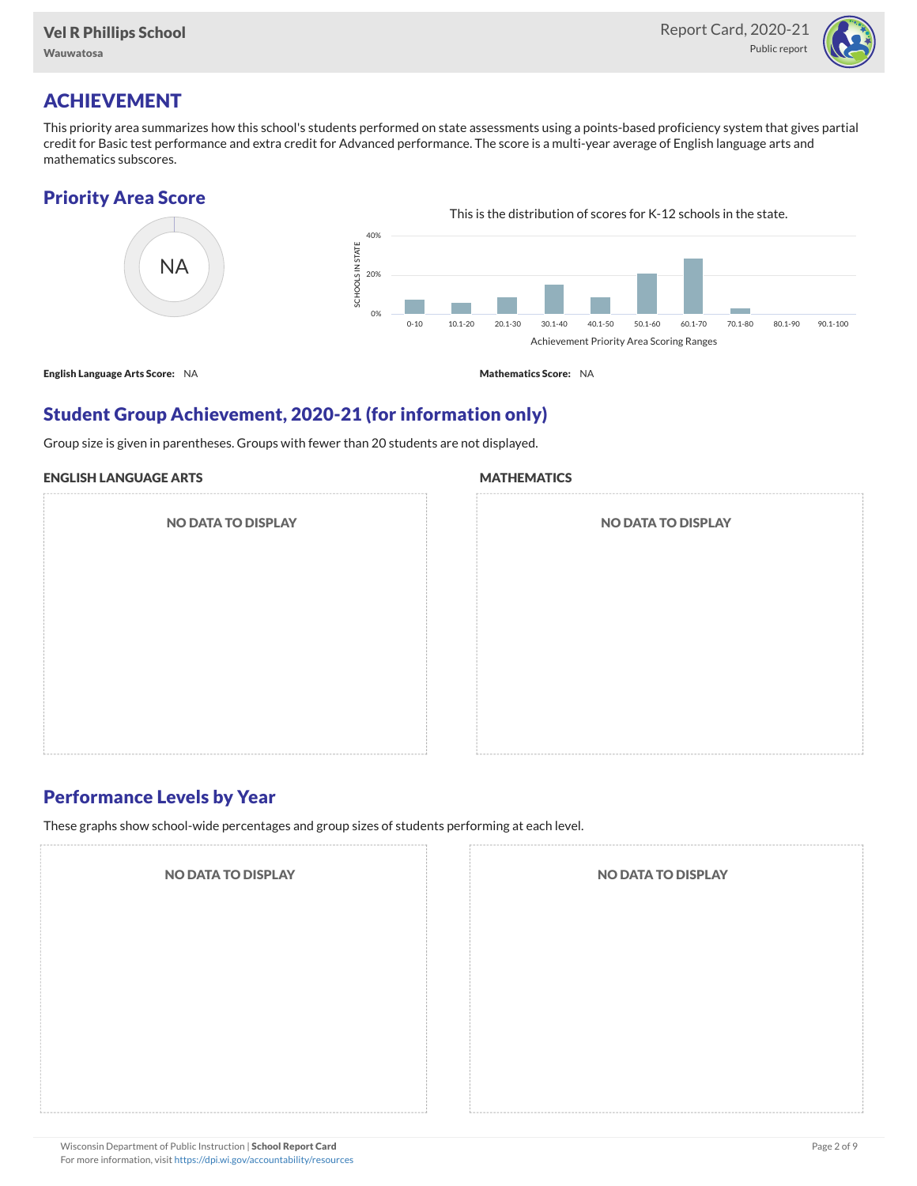

# ACHIEVEMENT

This priority area summarizes how this school's students performed on state assessments using a points-based proficiency system that gives partial credit for Basic test performance and extra credit for Advanced performance. The score is a multi-year average of English language arts and mathematics subscores.

### Priority Area Score



### Student Group Achievement, 2020-21 (for information only)

Group size is given in parentheses. Groups with fewer than 20 students are not displayed.

#### ENGLISH LANGUAGE ARTS

NO DATA TO DISPLAY

#### **MATHEMATICS**

| <b>NO DATA TO DISPLAY</b> |  |
|---------------------------|--|
|                           |  |
|                           |  |
|                           |  |
|                           |  |

### Performance Levels by Year

These graphs show school-wide percentages and group sizes of students performing at each level.

NO DATA TO DISPLAY NO DATA TO DISPLAY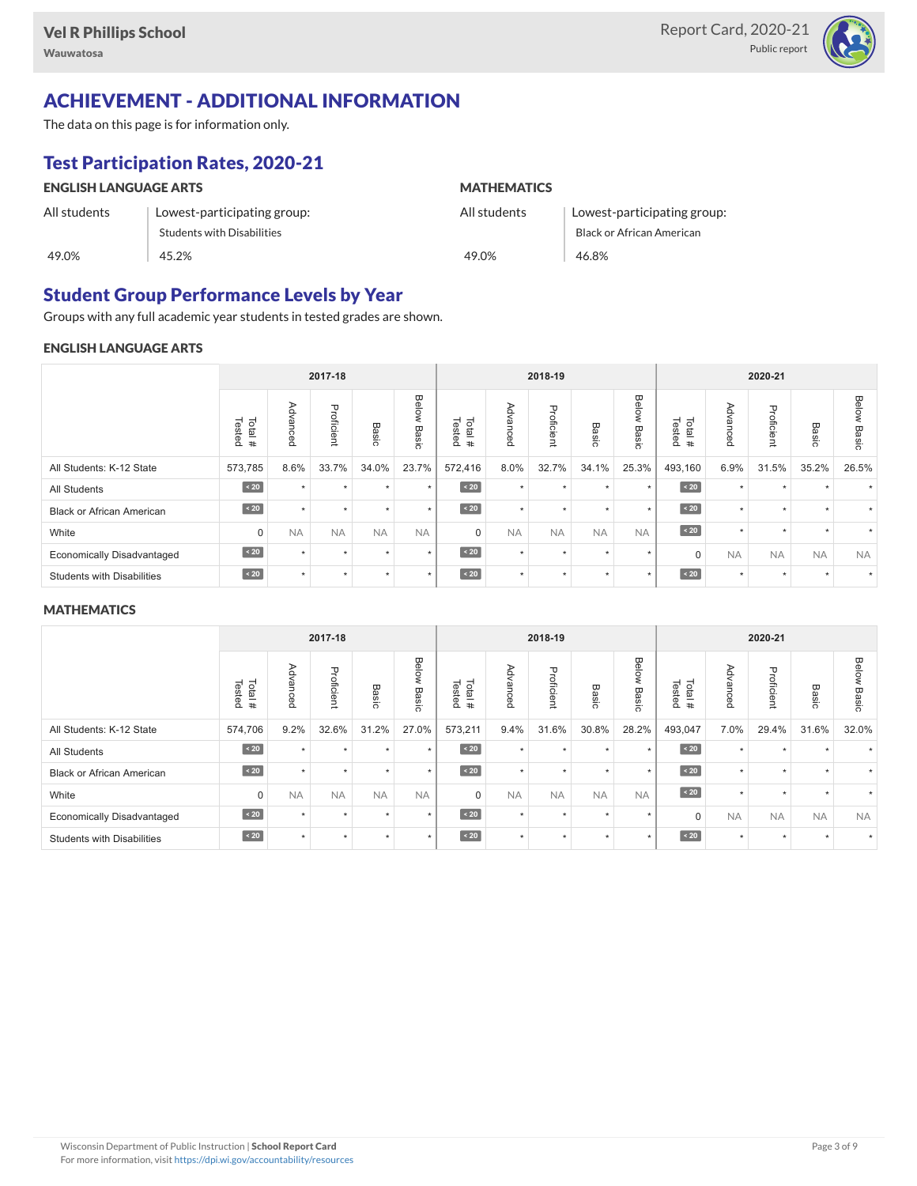

# ACHIEVEMENT - ADDITIONAL INFORMATION

The data on this page is for information only.

# Test Participation Rates, 2020-21

| <b>ENGLISH LANGUAGE ARTS</b> |                             | <b>MATHEMATICS</b> |                             |  |  |  |  |
|------------------------------|-----------------------------|--------------------|-----------------------------|--|--|--|--|
| All students                 | Lowest-participating group: | All students       | Lowest-participating group: |  |  |  |  |
|                              | Students with Disabilities  |                    | Black or African American   |  |  |  |  |
| 49.0%                        | 45.2%                       | 49.0%              | 46.8%                       |  |  |  |  |

### Student Group Performance Levels by Year

Groups with any full academic year students in tested grades are shown.

#### ENGLISH LANGUAGE ARTS

|                                   |                      | 2017-18   |            |           |                |                  | 2018-19   |            |                      |                | 2020-21          |                                            |                      |           |                       |
|-----------------------------------|----------------------|-----------|------------|-----------|----------------|------------------|-----------|------------|----------------------|----------------|------------------|--------------------------------------------|----------------------|-----------|-----------------------|
|                                   | Tested<br>Total<br># | Advanced  | Proficient | Basic     | Below<br>Basic | Tested<br>Total# | Advanced  | Proficient | Basi<br>$\circ$      | Below<br>Basic | Tested<br>Total# | ⋗<br>$\overline{\circ}$<br>ance<br>$\circ$ | Proficient           | Basic     | <b>Below</b><br>Basic |
| All Students: K-12 State          | 573,785              | 8.6%      | 33.7%      | 34.0%     | 23.7%          | 572,416          | 8.0%      | 32.7%      | 34.1%                | 25.3%          | 493,160          | 6.9%                                       | 31.5%                | 35.2%     | 26.5%                 |
| <b>All Students</b>               | $\angle 20$          | $\Delta$  | ٠          | $\ddot{}$ | $\star$        | $\sim 20$        | $\star$   | $\star$    | <b>A</b>             | ٠              | $\angle 20$      | $\star$                                    | $\ddot{\phantom{1}}$ |           |                       |
| Black or African American         | $\sim 20$            |           | ٠          | $\ddot{}$ | $\star$        | $\angle 20$      | $\star$   | $\star$    |                      | $\star$        | $\sim 20$        | $\star$                                    | ٠                    |           |                       |
| White                             | 0                    | <b>NA</b> | <b>NA</b>  | <b>NA</b> | <b>NA</b>      | $\mathbf 0$      | <b>NA</b> | <b>NA</b>  | <b>NA</b>            | <b>NA</b>      | $\angle 20$      | $\star$                                    | ٠                    |           |                       |
| <b>Economically Disadvantaged</b> | $\sim 20$            |           | ٠          | $\ddot{}$ | $\star$        | $\angle 20$      | $\star$   | $\star$    | $\ddot{\phantom{1}}$ | $\star$        | $\Omega$         | <b>NA</b>                                  | <b>NA</b>            | <b>NA</b> | <b>NA</b>             |
| <b>Students with Disabilities</b> | $\sim 20$            |           | ٠          | $\star$   | $\star$        | $\angle 20$      | $\star$   | $\star$    |                      | $\ddot{}$      | $\sim 20$        | $\star$                                    | $\star$              |           | $\star$               |

#### **MATHEMATICS**

| 2017-18                           |                  |               |            |           |                | 2018-19          |           |            |           | 2020-21        |                  |                                            |                |           |                       |
|-----------------------------------|------------------|---------------|------------|-----------|----------------|------------------|-----------|------------|-----------|----------------|------------------|--------------------------------------------|----------------|-----------|-----------------------|
|                                   | Total#<br>Tested | Advanced      | Proficient | Basic     | Below<br>Basic | Total#<br>Tested | Advanced  | Proficient | Basic     | Below<br>Basic | Total#<br>Tested | ⋗<br>$\Omega$<br><<br>Ω<br>υce<br>$\Omega$ | Proficie<br>Ë, | Basic     | <b>Below</b><br>Basic |
| All Students: K-12 State          | 574,706          | 9.2%          | 32.6%      | 31.2%     | 27.0%          | 573,211          | 9.4%      | 31.6%      | 30.8%     | 28.2%          | 493,047          | 7.0%                                       | 29.4%          | 31.6%     | 32.0%                 |
| All Students                      | $\sim 20$        |               | ٠          | ٠         | $\star$        | $\sim 20$        | $\star$   | $\star$    |           | $\ddot{}$      | $\sim 20$        | $\star$                                    | ٠              |           |                       |
| <b>Black or African American</b>  | $\sim 20$        | $\rightarrow$ | $\star$    | ٠         | $\star$        | $\sim 20$        | $\star$   | $\star$    |           | $\star$        | $\sim 20$        | $\star$                                    | ٠              | $\ddot{}$ |                       |
| White                             | $\mathbf 0$      | <b>NA</b>     | <b>NA</b>  | <b>NA</b> | <b>NA</b>      | $\Omega$         | <b>NA</b> | <b>NA</b>  | <b>NA</b> | <b>NA</b>      | $\angle 20$      | $\star$                                    | ٠              |           |                       |
| <b>Economically Disadvantaged</b> | $\sim 20$        |               | ٠          |           | $\star$        | $\sim 20$        | $\star$   | $\star$    |           | $\star$        | $\mathbf 0$      | <b>NA</b>                                  | <b>NA</b>      | <b>NA</b> | <b>NA</b>             |
| <b>Students with Disabilities</b> | $\sim 20$        |               | ٠          | ٠         | $\star$        | $\sim 20$        | $\star$   | $\star$    |           | $\star$        | $\sim 20$        | $\star$                                    | $\star$        | $\ddot{}$ |                       |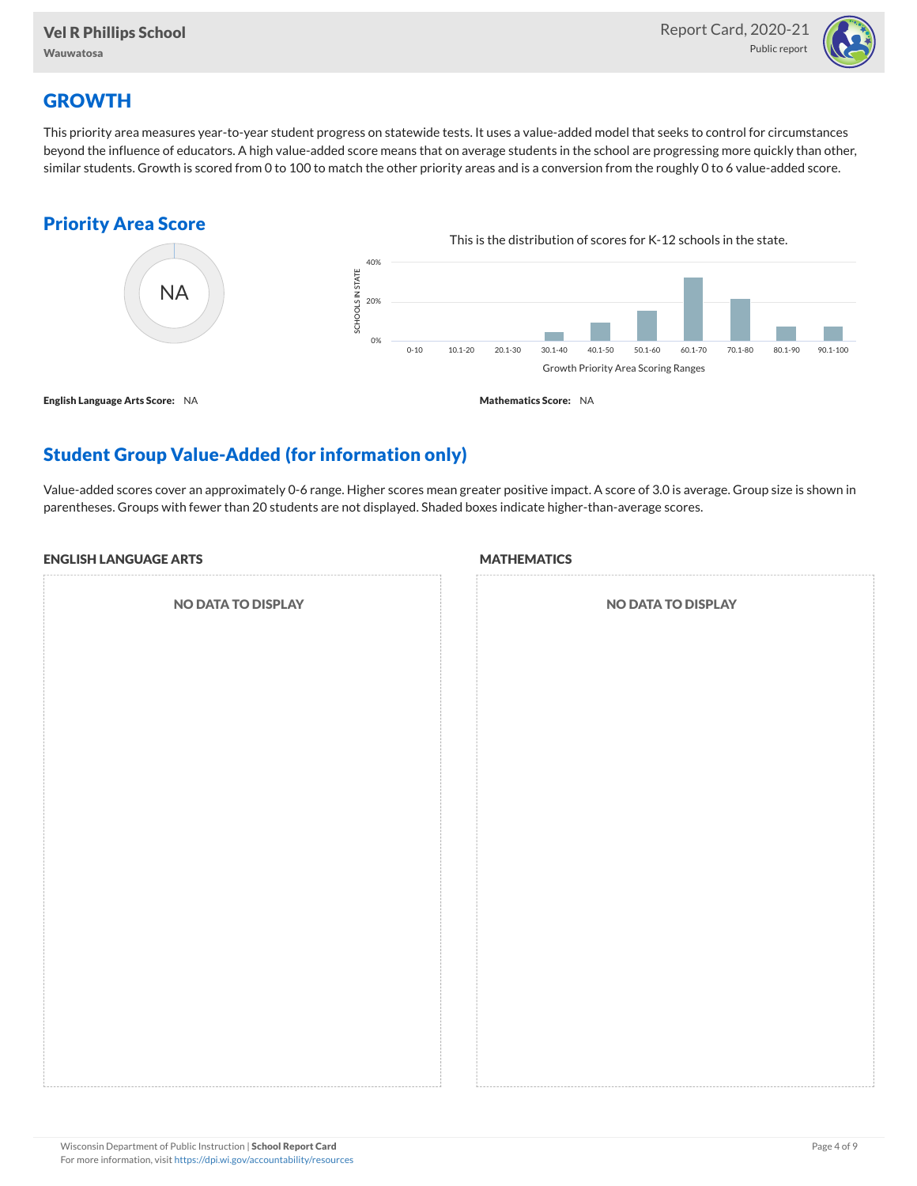

# **GROWTH**

This priority area measures year-to-year student progress on statewide tests. It uses a value-added model that seeks to control for circumstances beyond the influence of educators. A high value-added score means that on average students in the school are progressing more quickly than other, similar students. Growth is scored from 0 to 100 to match the other priority areas and is a conversion from the roughly 0 to 6 value-added score.

### Priority Area Score



# Student Group Value-Added (for information only)

Value-added scores cover an approximately 0-6 range. Higher scores mean greater positive impact. A score of 3.0 is average. Group size is shown in parentheses. Groups with fewer than 20 students are not displayed. Shaded boxes indicate higher-than-average scores.

#### ENGLISH LANGUAGE ARTS

NO DATA TO DISPLAY

#### **MATHEMATICS**

| NO DATA TO DISPLAY |
|--------------------|
|                    |
|                    |
|                    |
|                    |
|                    |
|                    |
|                    |
|                    |
|                    |
|                    |
|                    |
|                    |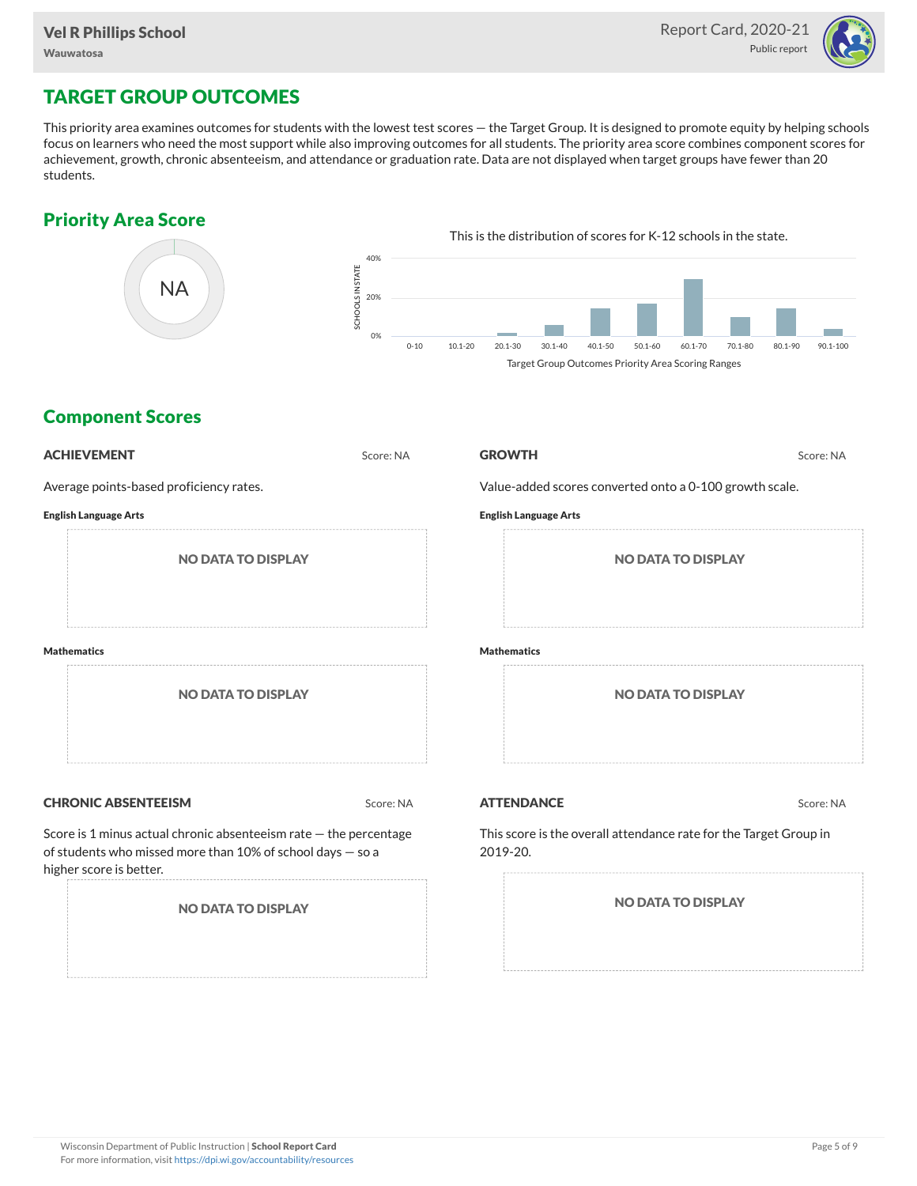

# TARGET GROUP OUTCOMES

This priority area examines outcomes for students with the lowest test scores — the Target Group. It is designed to promote equity by helping schools focus on learners who need the most support while also improving outcomes for all students. The priority area score combines component scores for achievement, growth, chronic absenteeism, and attendance or graduation rate. Data are not displayed when target groups have fewer than 20 students.

### Priority Area Score



### Component Scores

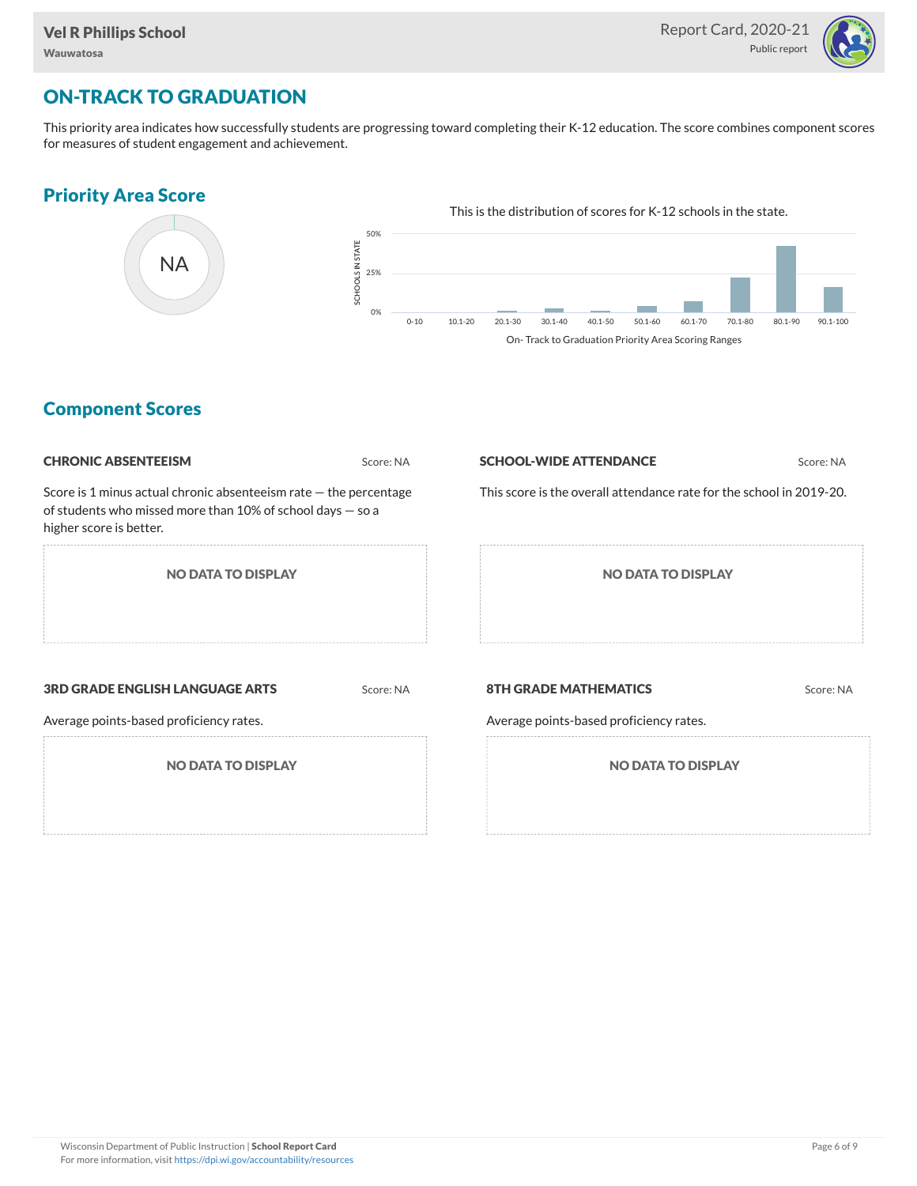

# ON-TRACK TO GRADUATION

This priority area indicates how successfully students are progressing toward completing their K-12 education. The score combines component scores for measures of student engagement and achievement.

### Priority Area Score



### Component Scores

| <b>CHRONIC ABSENTEEISM</b>                                                                                                                                     | Score: NA | <b>SCHOOL-WIDE ATTENDANCE</b>                                           | Score: NA |
|----------------------------------------------------------------------------------------------------------------------------------------------------------------|-----------|-------------------------------------------------------------------------|-----------|
| Score is 1 minus actual chronic absenteeism rate $-$ the percentage<br>of students who missed more than 10% of school days $-$ so a<br>higher score is better. |           | This score is the overall attendance rate for the school in 2019-20.    |           |
| <b>NO DATA TO DISPLAY</b>                                                                                                                                      |           | <b>NO DATA TO DISPLAY</b>                                               |           |
| <b>3RD GRADE ENGLISH LANGUAGE ARTS</b><br>Average points-based proficiency rates.                                                                              | Score: NA | <b>8TH GRADE MATHEMATICS</b><br>Average points-based proficiency rates. | Score: NA |
| <b>NO DATA TO DISPLAY</b>                                                                                                                                      |           | <b>NO DATA TO DISPLAY</b>                                               |           |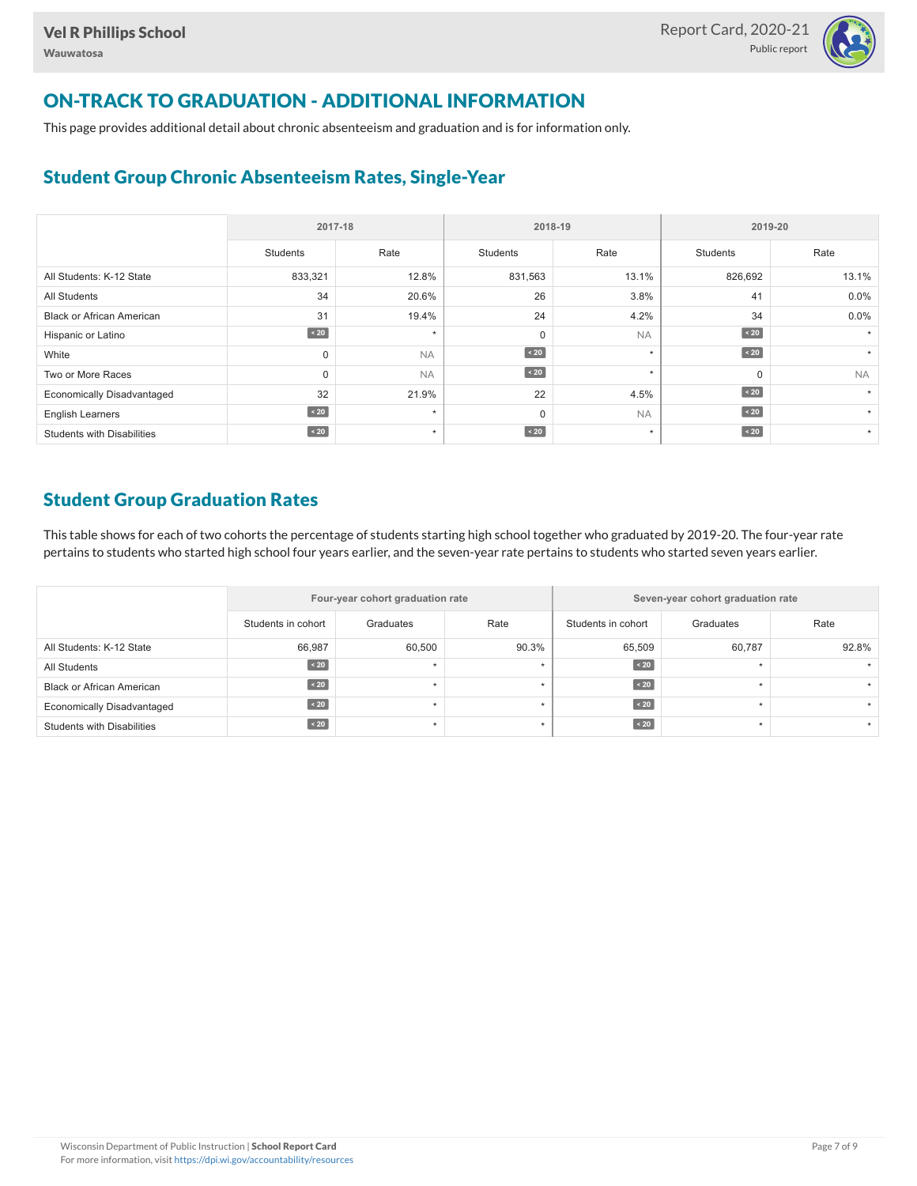

# ON-TRACK TO GRADUATION - ADDITIONAL INFORMATION

This page provides additional detail about chronic absenteeism and graduation and is for information only.

### Student Group Chronic Absenteeism Rates, Single-Year

|                                   | 2017-18   |           |             | 2018-19   | 2019-20     |                      |  |  |
|-----------------------------------|-----------|-----------|-------------|-----------|-------------|----------------------|--|--|
|                                   | Students  | Rate      | Students    | Rate      | Students    | Rate                 |  |  |
| All Students: K-12 State          | 833,321   | 12.8%     | 831,563     | 13.1%     | 826,692     | 13.1%                |  |  |
| <b>All Students</b>               | 34        | 20.6%     | 26          | 3.8%      | 41          | $0.0\%$              |  |  |
| <b>Black or African American</b>  | 31        | 19.4%     | 24          | 4.2%      | 34          | 0.0%                 |  |  |
| Hispanic or Latino                | $\sim 20$ | $\star$   | $\mathbf 0$ | <b>NA</b> | $\sim 20$   | $\star$              |  |  |
| White                             | 0         | <b>NA</b> | $\sim 20$   | $\star$   | $\angle 20$ |                      |  |  |
| Two or More Races                 | 0         | <b>NA</b> | $\sim 20$   | $\star$   | $\Omega$    | <b>NA</b>            |  |  |
| <b>Economically Disadvantaged</b> | 32        | 21.9%     | 22          | 4.5%      | $\angle 20$ |                      |  |  |
| <b>English Learners</b>           | $\sim 20$ | $\star$   | $\mathbf 0$ | <b>NA</b> | $\angle 20$ | $\ddot{\phantom{1}}$ |  |  |
| <b>Students with Disabilities</b> | $\sim 20$ | $\star$   | $\sim 20$   | $\star$   | $\sim 20$   | $\star$              |  |  |

### Student Group Graduation Rates

This table shows for each of two cohorts the percentage of students starting high school together who graduated by 2019-20. The four-year rate pertains to students who started high school four years earlier, and the seven-year rate pertains to students who started seven years earlier.

|                                   |                    | Four-year cohort graduation rate |       | Seven-year cohort graduation rate |           |       |  |  |  |
|-----------------------------------|--------------------|----------------------------------|-------|-----------------------------------|-----------|-------|--|--|--|
|                                   | Students in cohort | Graduates                        | Rate  | Students in cohort                | Graduates | Rate  |  |  |  |
| All Students: K-12 State          | 66,987             | 60.500                           | 90.3% | 65,509                            | 60,787    | 92.8% |  |  |  |
| All Students                      | $\angle 20$        |                                  |       | $\angle 20$                       |           |       |  |  |  |
| <b>Black or African American</b>  | $\sim 20$          |                                  |       | $\angle 20$                       |           |       |  |  |  |
| <b>Economically Disadvantaged</b> | $\leq 20$          |                                  |       | $\leq 20$                         |           |       |  |  |  |
| <b>Students with Disabilities</b> | $\angle 20$        |                                  |       | $\angle 20$                       |           |       |  |  |  |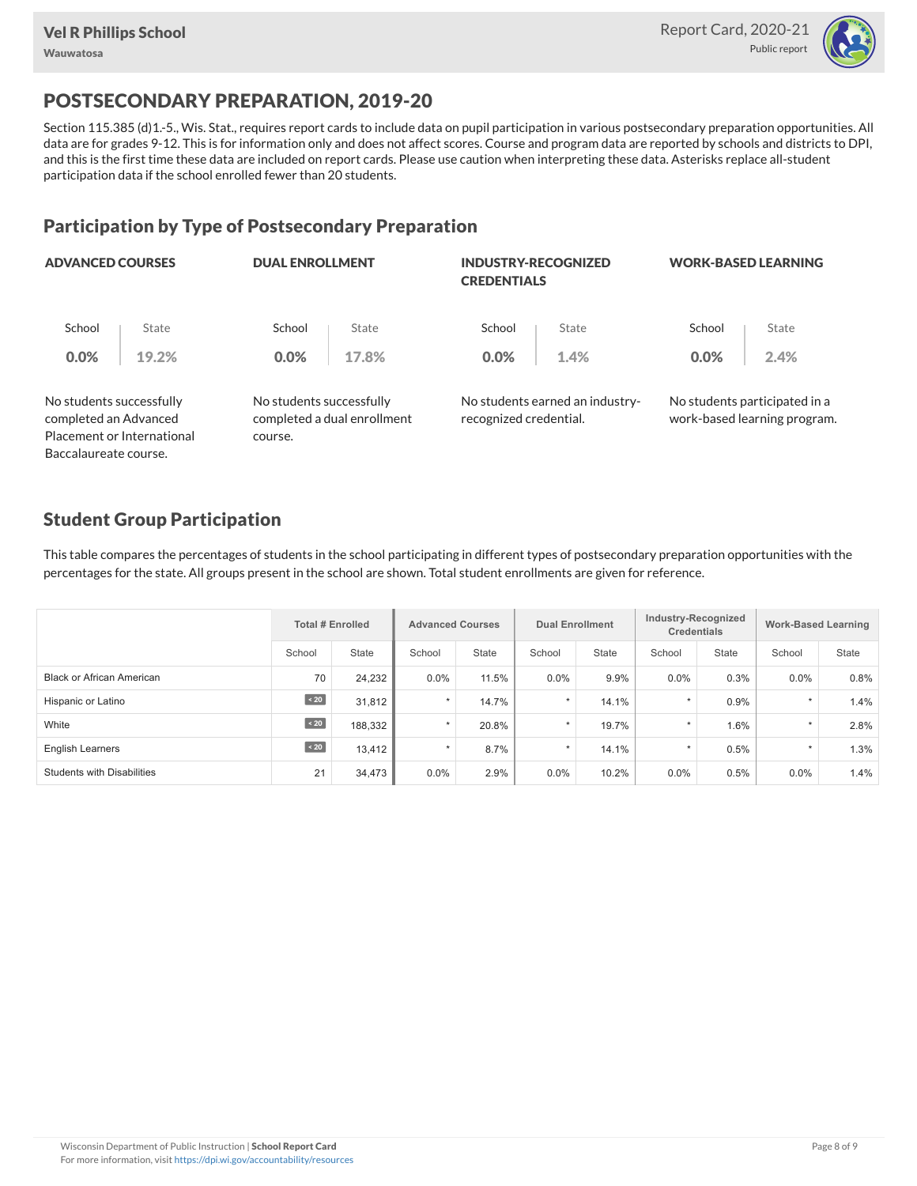

# POSTSECONDARY PREPARATION, 2019-20

Section 115.385 (d)1.-5., Wis. Stat., requires report cards to include data on pupil participation in various postsecondary preparation opportunities. All data are for grades 9-12. This is for information only and does not affect scores. Course and program data are reported by schools and districts to DPI, and this is the first time these data are included on report cards. Please use caution when interpreting these data. Asterisks replace all-student participation data if the school enrolled fewer than 20 students.

### Participation by Type of Postsecondary Preparation

| <b>ADVANCED COURSES</b>                           |                            | <b>DUAL ENROLLMENT</b>              |                             | <b>INDUSTRY-RECOGNIZED</b><br><b>CREDENTIALS</b> |                                 | <b>WORK-BASED LEARNING</b> |                                                               |  |
|---------------------------------------------------|----------------------------|-------------------------------------|-----------------------------|--------------------------------------------------|---------------------------------|----------------------------|---------------------------------------------------------------|--|
| School                                            | State                      | School                              | State                       | School                                           | State                           | School                     | State                                                         |  |
| 0.0%                                              | 19.2%                      | $0.0\%$                             | 17.8%                       | 0.0%                                             | 1.4%                            | 0.0%                       | 2.4%                                                          |  |
| No students successfully<br>completed an Advanced | Placement or International | No students successfully<br>course. | completed a dual enrollment | recognized credential.                           | No students earned an industry- |                            | No students participated in a<br>work-based learning program. |  |
| Baccalaureate course.                             |                            |                                     |                             |                                                  |                                 |                            |                                                               |  |

### Student Group Participation

This table compares the percentages of students in the school participating in different types of postsecondary preparation opportunities with the percentages for the state. All groups present in the school are shown. Total student enrollments are given for reference.

|                                   | <b>Total # Enrolled</b> |         | <b>Advanced Courses</b> |              | <b>Dual Enrollment</b> |              | Industry-Recognized<br><b>Credentials</b> |       | <b>Work-Based Learning</b> |              |
|-----------------------------------|-------------------------|---------|-------------------------|--------------|------------------------|--------------|-------------------------------------------|-------|----------------------------|--------------|
|                                   | School                  | State   | School                  | <b>State</b> | School                 | <b>State</b> | School                                    | State | School                     | <b>State</b> |
| <b>Black or African American</b>  | 70                      | 24,232  | $0.0\%$                 | 11.5%        | 0.0%                   | 9.9%         | $0.0\%$                                   | 0.3%  | $0.0\%$                    | 0.8%         |
| Hispanic or Latino                | $\angle 20$             | 31.812  | $\star$                 | 14.7%        | $\star$                | 14.1%        | $\star$                                   | 0.9%  | $\star$                    | 1.4%         |
| White                             | $\angle 20$             | 188,332 | $\star$                 | 20.8%        | $\star$                | 19.7%        | $\star$                                   | 1.6%  | $\star$                    | 2.8%         |
| <b>English Learners</b>           | $\angle 20$             | 13.412  | $\star$                 | 8.7%         | $\star$                | 14.1%        | $\star$                                   | 0.5%  | $\star$                    | 1.3%         |
| <b>Students with Disabilities</b> | 21                      | 34,473  | $0.0\%$                 | 2.9%         | 0.0%                   | 10.2%        | 0.0%                                      | 0.5%  | $0.0\%$                    | 1.4%         |